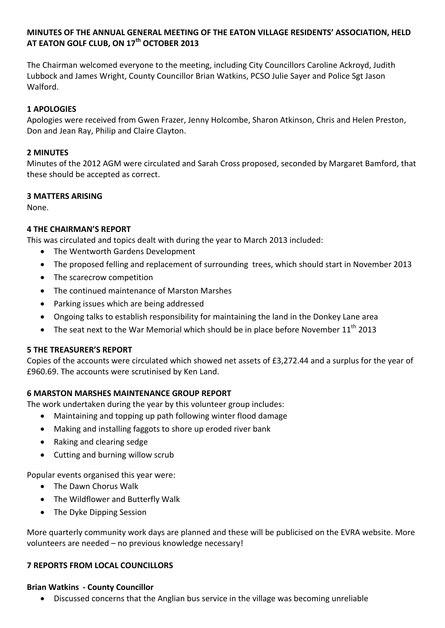## **MINUTES OF THE ANNUAL GENERAL MEETING OF THE EATON VILLAGE RESIDENTS' ASSOCIATION, HELD AT EATON GOLF CLUB, ON 17th OCTOBER 2013**

The Chairman welcomed everyone to the meeting, including City Councillors Caroline Ackroyd, Judith Lubbock and James Wright, County Councillor Brian Watkins, PCSO Julie Sayer and Police Sgt Jason Walford.

# **1 APOLOGIES**

Apologies were received from Gwen Frazer, Jenny Holcombe, Sharon Atkinson, Chris and Helen Preston, Don and Jean Ray, Philip and Claire Clayton.

## **2 MINUTES**

Minutes of the 2012 AGM were circulated and Sarah Cross proposed, seconded by Margaret Bamford, that these should be accepted as correct.

### **3 MATTERS ARISING**

None.

## **4 THE CHAIRMAN'S REPORT**

This was circulated and topics dealt with during the year to March 2013 included:

- The Wentworth Gardens Development
- The proposed felling and replacement of surrounding trees, which should start in November 2013
- The scarecrow competition
- The continued maintenance of Marston Marshes
- Parking issues which are being addressed
- Ongoing talks to establish responsibility for maintaining the land in the Donkey Lane area
- The seat next to the War Memorial which should be in place before November  $11<sup>th</sup>$  2013

#### **5 THE TREASURER'S REPORT**

Copies of the accounts were circulated which showed net assets of £3,272.44 and a surplus for the year of £960.69. The accounts were scrutinised by Ken Land.

## **6 MARSTON MARSHES MAINTENANCE GROUP REPORT**

The work undertaken during the year by this volunteer group includes:

- Maintaining and topping up path following winter flood damage
- Making and installing faggots to shore up eroded river bank
- Raking and clearing sedge
- Cutting and burning willow scrub

Popular events organised this year were:

- The Dawn Chorus Walk
- The Wildflower and Butterfly Walk
- The Dyke Dipping Session

More quarterly community work days are planned and these will be publicised on the EVRA website. More volunteers are needed – no previous knowledge necessary!

#### **7 REPORTS FROM LOCAL COUNCILLORS**

#### **Brian Watkins - County Councillor**

Discussed concerns that the Anglian bus service in the village was becoming unreliable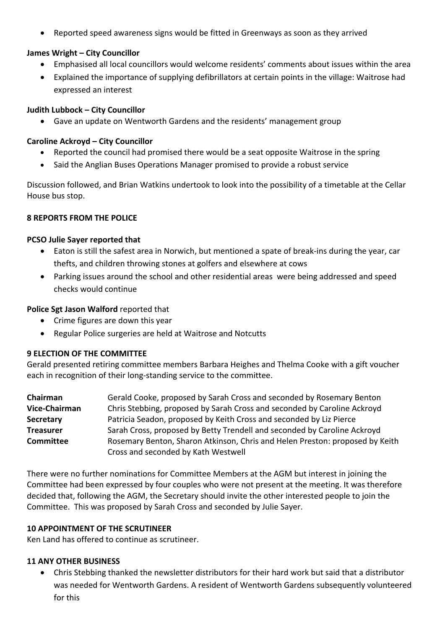Reported speed awareness signs would be fitted in Greenways as soon as they arrived

### **James Wright – City Councillor**

- Emphasised all local councillors would welcome residents' comments about issues within the area
- Explained the importance of supplying defibrillators at certain points in the village: Waitrose had expressed an interest

### **Judith Lubbock – City Councillor**

Gave an update on Wentworth Gardens and the residents' management group

### **Caroline Ackroyd – City Councillor**

- Reported the council had promised there would be a seat opposite Waitrose in the spring
- Said the Anglian Buses Operations Manager promised to provide a robust service

Discussion followed, and Brian Watkins undertook to look into the possibility of a timetable at the Cellar House bus stop.

### **8 REPORTS FROM THE POLICE**

### **PCSO Julie Sayer reported that**

- Eaton is still the safest area in Norwich, but mentioned a spate of break-ins during the year, car thefts, and children throwing stones at golfers and elsewhere at cows
- Parking issues around the school and other residential areas were being addressed and speed checks would continue

## **Police Sgt Jason Walford** reported that

- Crime figures are down this year
- Regular Police surgeries are held at Waitrose and Notcutts

#### **9 ELECTION OF THE COMMITTEE**

Gerald presented retiring committee members Barbara Heighes and Thelma Cooke with a gift voucher each in recognition of their long-standing service to the committee.

| Chairman             | Gerald Cooke, proposed by Sarah Cross and seconded by Rosemary Benton        |
|----------------------|------------------------------------------------------------------------------|
| <b>Vice-Chairman</b> | Chris Stebbing, proposed by Sarah Cross and seconded by Caroline Ackroyd     |
| <b>Secretary</b>     | Patricia Seadon, proposed by Keith Cross and seconded by Liz Pierce          |
| <b>Treasurer</b>     | Sarah Cross, proposed by Betty Trendell and seconded by Caroline Ackroyd     |
| <b>Committee</b>     | Rosemary Benton, Sharon Atkinson, Chris and Helen Preston: proposed by Keith |
|                      | Cross and seconded by Kath Westwell                                          |

There were no further nominations for Committee Members at the AGM but interest in joining the Committee had been expressed by four couples who were not present at the meeting. It was therefore decided that, following the AGM, the Secretary should invite the other interested people to join the Committee. This was proposed by Sarah Cross and seconded by Julie Sayer.

## **10 APPOINTMENT OF THE SCRUTINEER**

Ken Land has offered to continue as scrutineer.

#### **11 ANY OTHER BUSINESS**

 Chris Stebbing thanked the newsletter distributors for their hard work but said that a distributor was needed for Wentworth Gardens. A resident of Wentworth Gardens subsequently volunteered for this